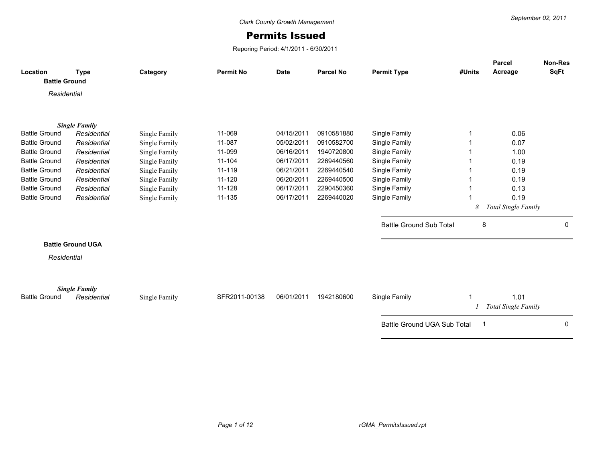## Permits Issued

Reporing Period: 4/1/2011 - 6/30/2011

|                                  |                                     |               |                  |             |                  |                                    |        | Parcel              | Non-Res      |
|----------------------------------|-------------------------------------|---------------|------------------|-------------|------------------|------------------------------------|--------|---------------------|--------------|
| Location<br><b>Battle Ground</b> | <b>Type</b>                         | Category      | <b>Permit No</b> | <b>Date</b> | <b>Parcel No</b> | <b>Permit Type</b>                 | #Units | Acreage             | <b>SqFt</b>  |
|                                  |                                     |               |                  |             |                  |                                    |        |                     |              |
| Residential                      |                                     |               |                  |             |                  |                                    |        |                     |              |
|                                  |                                     |               |                  |             |                  |                                    |        |                     |              |
|                                  |                                     |               |                  |             |                  |                                    |        |                     |              |
| <b>Battle Ground</b>             | <b>Single Family</b><br>Residential | Single Family | 11-069           | 04/15/2011  | 0910581880       | Single Family                      |        | 0.06                |              |
| <b>Battle Ground</b>             | Residential                         | Single Family | 11-087           | 05/02/2011  | 0910582700       | Single Family                      |        | 0.07                |              |
| <b>Battle Ground</b>             | Residential                         | Single Family | 11-099           | 06/16/2011  | 1940720800       | Single Family                      |        | 1.00                |              |
| <b>Battle Ground</b>             | Residential                         | Single Family | 11-104           | 06/17/2011  | 2269440560       | Single Family                      |        | 0.19                |              |
| <b>Battle Ground</b>             | Residential                         | Single Family | 11-119           | 06/21/2011  | 2269440540       | Single Family                      |        | 0.19                |              |
| <b>Battle Ground</b>             | Residential                         | Single Family | 11-120           | 06/20/2011  | 2269440500       | Single Family                      |        | 0.19                |              |
| <b>Battle Ground</b>             | Residential                         | Single Family | 11-128           | 06/17/2011  | 2290450360       | Single Family                      |        | 0.13                |              |
| <b>Battle Ground</b>             | Residential                         | Single Family | 11-135           | 06/17/2011  | 2269440020       | Single Family                      |        | 0.19                |              |
|                                  |                                     |               |                  |             |                  |                                    | 8      | Total Single Family |              |
|                                  |                                     |               |                  |             |                  |                                    |        |                     |              |
|                                  |                                     |               |                  |             |                  | <b>Battle Ground Sub Total</b>     | 8      |                     | $\mathbf{0}$ |
|                                  |                                     |               |                  |             |                  |                                    |        |                     |              |
|                                  | <b>Battle Ground UGA</b>            |               |                  |             |                  |                                    |        |                     |              |
| Residential                      |                                     |               |                  |             |                  |                                    |        |                     |              |
|                                  |                                     |               |                  |             |                  |                                    |        |                     |              |
|                                  |                                     |               |                  |             |                  |                                    |        |                     |              |
|                                  | <b>Single Family</b>                |               |                  |             |                  |                                    |        |                     |              |
| <b>Battle Ground</b>             | Residential                         | Single Family | SFR2011-00138    | 06/01/2011  | 1942180600       | Single Family                      |        | 1.01                |              |
|                                  |                                     |               |                  |             |                  |                                    |        | Total Single Family |              |
|                                  |                                     |               |                  |             |                  | <b>Battle Ground UGA Sub Total</b> | -1     |                     | 0            |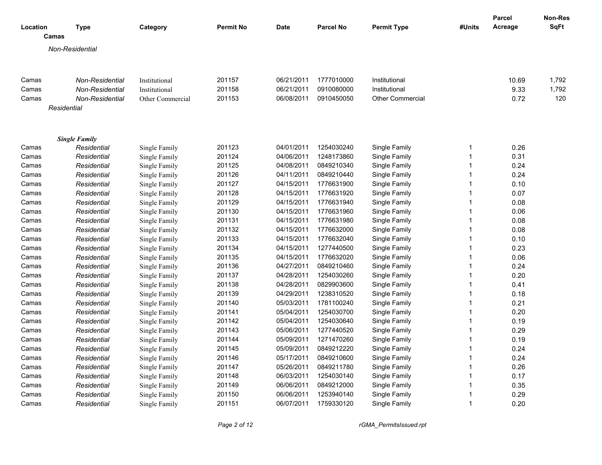|          |                      |                  |                  |             |                  |                         |              | <b>Parcel</b> | Non-Res     |
|----------|----------------------|------------------|------------------|-------------|------------------|-------------------------|--------------|---------------|-------------|
| Location | Type                 | Category         | <b>Permit No</b> | <b>Date</b> | <b>Parcel No</b> | <b>Permit Type</b>      | #Units       | Acreage       | <b>SqFt</b> |
|          | Camas                |                  |                  |             |                  |                         |              |               |             |
|          | Non-Residential      |                  |                  |             |                  |                         |              |               |             |
|          |                      |                  |                  |             |                  |                         |              |               |             |
|          |                      |                  |                  |             |                  |                         |              |               |             |
| Camas    | Non-Residential      | Institutional    | 201157           | 06/21/2011  | 1777010000       | Institutional           |              | 10.69         | 1,792       |
| Camas    | Non-Residential      | Institutional    | 201158           | 06/21/2011  | 0910080000       | Institutional           |              | 9.33          | 1,792       |
| Camas    | Non-Residential      | Other Commercial | 201153           | 06/08/2011  | 0910450050       | <b>Other Commercial</b> |              | 0.72          | 120         |
|          | Residential          |                  |                  |             |                  |                         |              |               |             |
|          | <b>Single Family</b> |                  |                  |             |                  |                         |              |               |             |
| Camas    | Residential          | Single Family    | 201123           | 04/01/2011  | 1254030240       | Single Family           | 1            | 0.26          |             |
| Camas    | Residential          | Single Family    | 201124           | 04/06/2011  | 1248173860       | Single Family           | $\mathbf{1}$ | 0.31          |             |
| Camas    | Residential          | Single Family    | 201125           | 04/08/2011  | 0849210340       | Single Family           | $\mathbf{1}$ | 0.24          |             |
| Camas    | Residential          | Single Family    | 201126           | 04/11/2011  | 0849210440       | Single Family           | $\mathbf{1}$ | 0.24          |             |
| Camas    | Residential          | Single Family    | 201127           | 04/15/2011  | 1776631900       | Single Family           | $\mathbf{1}$ | 0.10          |             |
| Camas    | Residential          | Single Family    | 201128           | 04/15/2011  | 1776631920       | Single Family           | 1            | 0.07          |             |
| Camas    | Residential          | Single Family    | 201129           | 04/15/2011  | 1776631940       | Single Family           | $\mathbf{1}$ | 0.08          |             |
| Camas    | Residential          | Single Family    | 201130           | 04/15/2011  | 1776631960       | Single Family           | $\mathbf{1}$ | 0.06          |             |
| Camas    | Residential          | Single Family    | 201131           | 04/15/2011  | 1776631980       | Single Family           | $\mathbf{1}$ | 0.08          |             |
| Camas    | Residential          | Single Family    | 201132           | 04/15/2011  | 1776632000       | Single Family           | $\mathbf{1}$ | 0.08          |             |
| Camas    | Residential          | Single Family    | 201133           | 04/15/2011  | 1776632040       | Single Family           | $\mathbf{1}$ | 0.10          |             |
| Camas    | Residential          | Single Family    | 201134           | 04/15/2011  | 1277440500       | Single Family           | $\mathbf{1}$ | 0.23          |             |
| Camas    | Residential          | Single Family    | 201135           | 04/15/2011  | 1776632020       | Single Family           | $\mathbf{1}$ | 0.06          |             |
| Camas    | Residential          | Single Family    | 201136           | 04/27/2011  | 0849210460       | Single Family           | 1            | 0.24          |             |
| Camas    | Residential          | Single Family    | 201137           | 04/28/2011  | 1254030260       | Single Family           | $\mathbf{1}$ | 0.20          |             |
| Camas    | Residential          | Single Family    | 201138           | 04/28/2011  | 0829903600       | Single Family           | $\mathbf{1}$ | 0.41          |             |
| Camas    | Residential          | Single Family    | 201139           | 04/29/2011  | 1238310520       | Single Family           | $\mathbf{1}$ | 0.18          |             |
| Camas    | Residential          | Single Family    | 201140           | 05/03/2011  | 1781100240       | Single Family           | 1            | 0.21          |             |
| Camas    | Residential          | Single Family    | 201141           | 05/04/2011  | 1254030700       | Single Family           | $\mathbf{1}$ | 0.20          |             |
| Camas    | Residential          | Single Family    | 201142           | 05/04/2011  | 1254030640       | Single Family           | $\mathbf{1}$ | 0.19          |             |
| Camas    | Residential          | Single Family    | 201143           | 05/06/2011  | 1277440520       | Single Family           | $\mathbf{1}$ | 0.29          |             |
| Camas    | Residential          | Single Family    | 201144           | 05/09/2011  | 1271470260       | Single Family           | $\mathbf{1}$ | 0.19          |             |
| Camas    | Residential          | Single Family    | 201145           | 05/09/2011  | 0849212220       | Single Family           | $\mathbf{1}$ | 0.24          |             |
| Camas    | Residential          | Single Family    | 201146           | 05/17/2011  | 0849210600       | Single Family           | $\mathbf{1}$ | 0.24          |             |
| Camas    | Residential          | Single Family    | 201147           | 05/26/2011  | 0849211780       | Single Family           | $\mathbf{1}$ | 0.26          |             |
| Camas    | Residential          | Single Family    | 201148           | 06/03/2011  | 1254030140       | Single Family           | $\mathbf{1}$ | 0.17          |             |
| Camas    | Residential          | Single Family    | 201149           | 06/06/2011  | 0849212000       | Single Family           | 1            | 0.35          |             |
| Camas    | Residential          | Single Family    | 201150           | 06/06/2011  | 1253940140       | Single Family           | $\mathbf{1}$ | 0.29          |             |
| Camas    | Residential          | Single Family    | 201151           | 06/07/2011  | 1759330120       | Single Family           | 1            | 0.20          |             |

*Page 2 of 12 rGMA\_PermitsIssued.rpt*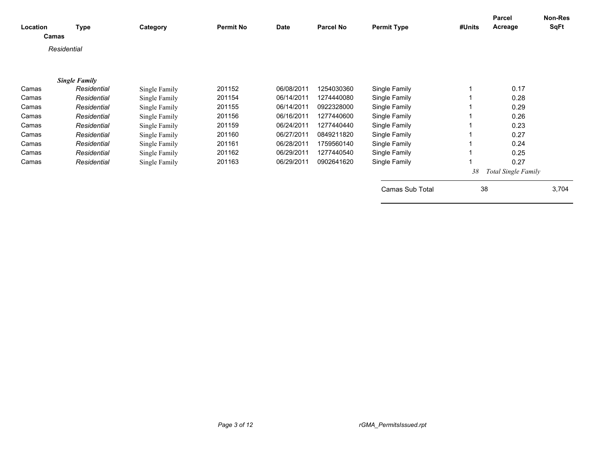| Location<br>Camas | <b>Type</b>          | Category      | <b>Permit No</b> | Date       | Parcel No  | <b>Permit Type</b> | #Units | Parcel<br>Acreage          | Non-Res<br><b>SqFt</b> |
|-------------------|----------------------|---------------|------------------|------------|------------|--------------------|--------|----------------------------|------------------------|
| Residential       |                      |               |                  |            |            |                    |        |                            |                        |
|                   | <b>Single Family</b> |               |                  |            |            |                    |        |                            |                        |
| Camas             | Residential          | Single Family | 201152           | 06/08/2011 | 1254030360 | Single Family      |        | 0.17                       |                        |
| Camas             | Residential          | Single Family | 201154           | 06/14/2011 | 1274440080 | Single Family      |        | 0.28                       |                        |
| Camas             | Residential          | Single Family | 201155           | 06/14/2011 | 0922328000 | Single Family      |        | 0.29                       |                        |
| Camas             | Residential          | Single Family | 201156           | 06/16/2011 | 1277440600 | Single Family      |        | 0.26                       |                        |
| Camas             | Residential          | Single Family | 201159           | 06/24/2011 | 1277440440 | Single Family      |        | 0.23                       |                        |
| Camas             | Residential          | Single Family | 201160           | 06/27/2011 | 0849211820 | Single Family      |        | 0.27                       |                        |
| Camas             | Residential          | Single Family | 201161           | 06/28/2011 | 1759560140 | Single Family      |        | 0.24                       |                        |
| Camas             | Residential          | Single Family | 201162           | 06/29/2011 | 1277440540 | Single Family      |        | 0.25                       |                        |
| Camas             | Residential          | Single Family | 201163           | 06/29/2011 | 0902641620 | Single Family      |        | 0.27                       |                        |
|                   |                      |               |                  |            |            |                    | 38     | <b>Total Single Family</b> |                        |
|                   |                      |               |                  |            |            | Camas Sub Total    | 38     |                            | 3,704                  |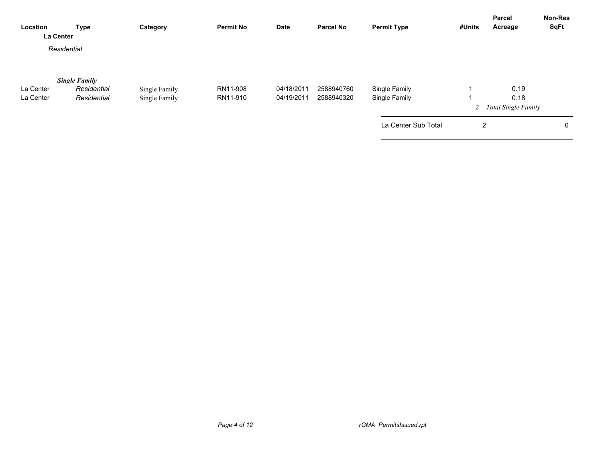| Location<br>La Center  | <b>Type</b>                                        | Category                       | <b>Permit No</b>     | <b>Date</b>              | <b>Parcel No</b>         | <b>Permit Type</b>             | #Units         | <b>Parcel</b><br>Acreage | <b>Non-Res</b><br><b>SqFt</b> |
|------------------------|----------------------------------------------------|--------------------------------|----------------------|--------------------------|--------------------------|--------------------------------|----------------|--------------------------|-------------------------------|
|                        | Residential                                        |                                |                      |                          |                          |                                |                |                          |                               |
| La Center<br>La Center | <b>Single Family</b><br>Residential<br>Residential | Single Family<br>Single Family | RN11-908<br>RN11-910 | 04/18/2011<br>04/19/2011 | 2588940760<br>2588940320 | Single Family<br>Single Family |                | 0.19<br>0.18             |                               |
|                        |                                                    |                                |                      |                          |                          | La Center Sub Total            | $\overline{2}$ | 2 Total Single Family    | 0                             |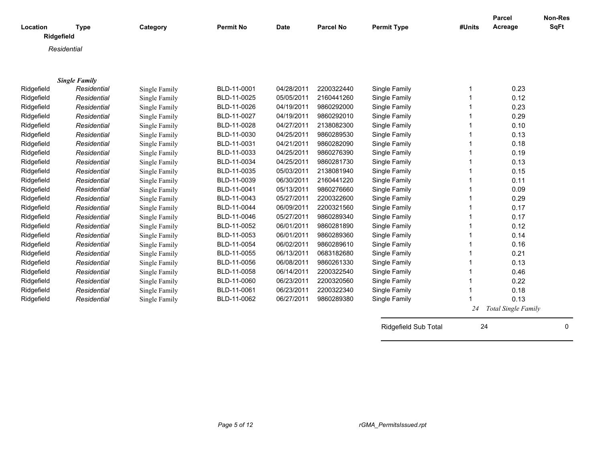| Location   | <b>Type</b>          | Category      | <b>Permit No</b> | <b>Date</b> | <b>Parcel No</b> | <b>Permit Type</b>   | #Units | <b>Parcel</b><br>Acreage | Non-Res<br><b>SqFt</b> |
|------------|----------------------|---------------|------------------|-------------|------------------|----------------------|--------|--------------------------|------------------------|
| Ridgefield |                      |               |                  |             |                  |                      |        |                          |                        |
|            | Residential          |               |                  |             |                  |                      |        |                          |                        |
|            |                      |               |                  |             |                  |                      |        |                          |                        |
|            |                      |               |                  |             |                  |                      |        |                          |                        |
|            | <b>Single Family</b> |               |                  |             |                  |                      |        |                          |                        |
| Ridgefield | Residential          | Single Family | BLD-11-0001      | 04/28/2011  | 2200322440       | Single Family        |        | 0.23                     |                        |
| Ridgefield | Residential          | Single Family | BLD-11-0025      | 05/05/2011  | 2160441260       | Single Family        |        | 0.12                     |                        |
| Ridgefield | Residential          | Single Family | BLD-11-0026      | 04/19/2011  | 9860292000       | Single Family        |        | 0.23                     |                        |
| Ridgefield | Residential          | Single Family | BLD-11-0027      | 04/19/2011  | 9860292010       | Single Family        |        | 0.29                     |                        |
| Ridgefield | Residential          | Single Family | BLD-11-0028      | 04/27/2011  | 2138082300       | Single Family        |        | 0.10                     |                        |
| Ridgefield | Residential          | Single Family | BLD-11-0030      | 04/25/2011  | 9860289530       | Single Family        |        | 0.13                     |                        |
| Ridgefield | Residential          | Single Family | BLD-11-0031      | 04/21/2011  | 9860282090       | Single Family        |        | 0.18                     |                        |
| Ridgefield | Residential          | Single Family | BLD-11-0033      | 04/25/2011  | 9860276390       | Single Family        |        | 0.19                     |                        |
| Ridgefield | Residential          | Single Family | BLD-11-0034      | 04/25/2011  | 9860281730       | Single Family        |        | 0.13                     |                        |
| Ridgefield | Residential          | Single Family | BLD-11-0035      | 05/03/2011  | 2138081940       | Single Family        |        | 0.15                     |                        |
| Ridgefield | Residential          | Single Family | BLD-11-0039      | 06/30/2011  | 2160441220       | Single Family        |        | 0.11                     |                        |
| Ridgefield | Residential          | Single Family | BLD-11-0041      | 05/13/2011  | 9860276660       | Single Family        |        | 0.09                     |                        |
| Ridgefield | Residential          | Single Family | BLD-11-0043      | 05/27/2011  | 2200322600       | Single Family        |        | 0.29                     |                        |
| Ridgefield | Residential          | Single Family | BLD-11-0044      | 06/09/2011  | 2200321560       | Single Family        |        | 0.17                     |                        |
| Ridgefield | Residential          | Single Family | BLD-11-0046      | 05/27/2011  | 9860289340       | Single Family        |        | 0.17                     |                        |
| Ridgefield | Residential          | Single Family | BLD-11-0052      | 06/01/2011  | 9860281890       | Single Family        |        | 0.12                     |                        |
| Ridgefield | Residential          | Single Family | BLD-11-0053      | 06/01/2011  | 9860289360       | Single Family        |        | 0.14                     |                        |
| Ridgefield | Residential          | Single Family | BLD-11-0054      | 06/02/2011  | 9860289610       | Single Family        |        | 0.16                     |                        |
| Ridgefield | Residential          | Single Family | BLD-11-0055      | 06/13/2011  | 0683182680       | Single Family        |        | 0.21                     |                        |
| Ridgefield | Residential          | Single Family | BLD-11-0056      | 06/08/2011  | 9860261330       | Single Family        |        | 0.13                     |                        |
| Ridgefield | Residential          | Single Family | BLD-11-0058      | 06/14/2011  | 2200322540       | Single Family        |        | 0.46                     |                        |
| Ridgefield | Residential          | Single Family | BLD-11-0060      | 06/23/2011  | 2200320560       | Single Family        |        | 0.22                     |                        |
| Ridgefield | Residential          | Single Family | BLD-11-0061      | 06/23/2011  | 2200322340       | Single Family        |        | 0.18                     |                        |
| Ridgefield | Residential          | Single Family | BLD-11-0062      | 06/27/2011  | 9860289380       | Single Family        |        | 0.13                     |                        |
|            |                      |               |                  |             |                  |                      | 24     | Total Single Family      |                        |
|            |                      |               |                  |             |                  | Ridgefield Sub Total | 24     |                          | $\mathbf 0$            |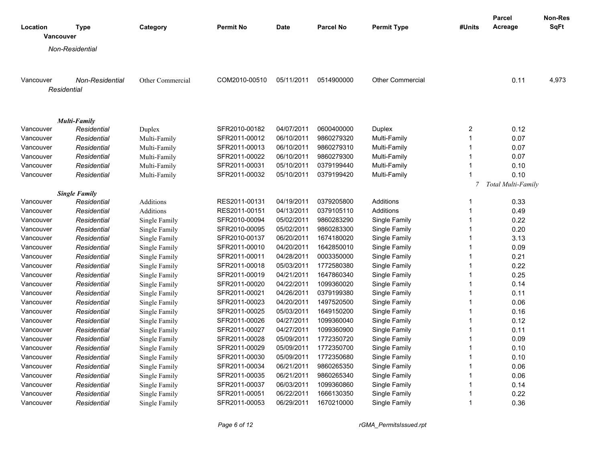|                              |                      |                  |                  |            |                  |                         |                                | <b>Parcel</b>             | <b>Non-Res</b> |
|------------------------------|----------------------|------------------|------------------|------------|------------------|-------------------------|--------------------------------|---------------------------|----------------|
| Location<br><b>Vancouver</b> | <b>Type</b>          | Category         | <b>Permit No</b> | Date       | <b>Parcel No</b> | <b>Permit Type</b>      | #Units                         | Acreage                   | <b>SqFt</b>    |
|                              | Non-Residential      |                  |                  |            |                  |                         |                                |                           |                |
|                              |                      |                  |                  |            |                  |                         |                                |                           |                |
| Vancouver                    | Non-Residential      | Other Commercial | COM2010-00510    | 05/11/2011 | 0514900000       | <b>Other Commercial</b> |                                | 0.11                      | 4,973          |
| Residential                  |                      |                  |                  |            |                  |                         |                                |                           |                |
|                              |                      |                  |                  |            |                  |                         |                                |                           |                |
|                              |                      |                  |                  |            |                  |                         |                                |                           |                |
|                              | Multi-Family         |                  |                  |            |                  |                         |                                |                           |                |
| Vancouver                    | Residential          | Duplex           | SFR2010-00182    | 04/07/2011 | 0600400000       | Duplex                  | $\overline{\mathbf{c}}$        | 0.12                      |                |
| Vancouver                    | Residential          | Multi-Family     | SFR2011-00012    | 06/10/2011 | 9860279320       | Multi-Family            | $\mathbf{1}$                   | 0.07                      |                |
| Vancouver                    | Residential          | Multi-Family     | SFR2011-00013    | 06/10/2011 | 9860279310       | Multi-Family            | $\mathbf{1}$                   | 0.07                      |                |
| Vancouver                    | Residential          | Multi-Family     | SFR2011-00022    | 06/10/2011 | 9860279300       | Multi-Family            | $\mathbf{1}$                   | 0.07                      |                |
| Vancouver                    | Residential          | Multi-Family     | SFR2011-00031    | 05/10/2011 | 0379199440       | Multi-Family            | $\mathbf{1}$                   | 0.10                      |                |
| Vancouver                    | Residential          | Multi-Family     | SFR2011-00032    | 05/10/2011 | 0379199420       | Multi-Family            | $\overline{1}$                 | 0.10                      |                |
|                              |                      |                  |                  |            |                  |                         | 7                              | <b>Total Multi-Family</b> |                |
|                              | <b>Single Family</b> |                  |                  |            |                  |                         |                                |                           |                |
| Vancouver                    | Residential          | <b>Additions</b> | RES2011-00131    | 04/19/2011 | 0379205800       | Additions               | -1<br>$\overline{1}$           | 0.33                      |                |
| Vancouver                    | Residential          | Additions        | RES2011-00151    | 04/13/2011 | 0379105110       | Additions               |                                | 0.49                      |                |
| Vancouver                    | Residential          | Single Family    | SFR2010-00094    | 05/02/2011 | 9860283290       | Single Family           | $\mathbf{1}$<br>$\overline{1}$ | 0.22                      |                |
| Vancouver                    | Residential          | Single Family    | SFR2010-00095    | 05/02/2011 | 9860283300       | Single Family           |                                | 0.20                      |                |
| Vancouver                    | Residential          | Single Family    | SFR2010-00137    | 06/20/2011 | 1674180020       | Single Family           | $\mathbf{1}$                   | 3.13                      |                |
| Vancouver                    | Residential          | Single Family    | SFR2011-00010    | 04/20/2011 | 1642850010       | Single Family           | $\mathbf{1}$                   | 0.09                      |                |
| Vancouver                    | Residential          | Single Family    | SFR2011-00011    | 04/28/2011 | 0003350000       | Single Family           | $\mathbf{1}$                   | 0.21                      |                |
| Vancouver                    | Residential          | Single Family    | SFR2011-00018    | 05/03/2011 | 1772580380       | Single Family           | $\mathbf{1}$                   | 0.22                      |                |
| Vancouver                    | Residential          | Single Family    | SFR2011-00019    | 04/21/2011 | 1647860340       | Single Family           | $\mathbf{1}$                   | 0.25                      |                |
| Vancouver                    | Residential          | Single Family    | SFR2011-00020    | 04/22/2011 | 1099360020       | Single Family           | $\mathbf{1}$                   | 0.14                      |                |
| Vancouver                    | Residential          | Single Family    | SFR2011-00021    | 04/26/2011 | 0379199380       | Single Family           | $\mathbf{1}$                   | 0.11                      |                |
| Vancouver                    | Residential          | Single Family    | SFR2011-00023    | 04/20/2011 | 1497520500       | Single Family           | $\mathbf{1}$                   | 0.06                      |                |
| Vancouver                    | Residential          | Single Family    | SFR2011-00025    | 05/03/2011 | 1649150200       | Single Family           | $\mathbf{1}$                   | 0.16                      |                |
| Vancouver                    | Residential          | Single Family    | SFR2011-00026    | 04/27/2011 | 1099360040       | Single Family           | $\mathbf{1}$                   | 0.12                      |                |
| Vancouver                    | Residential          | Single Family    | SFR2011-00027    | 04/27/2011 | 1099360900       | Single Family           | $\overline{1}$                 | 0.11                      |                |
| Vancouver                    | Residential          | Single Family    | SFR2011-00028    | 05/09/2011 | 1772350720       | Single Family           | $\mathbf{1}$                   | 0.09                      |                |
| Vancouver                    | Residential          | Single Family    | SFR2011-00029    | 05/09/2011 | 1772350700       | Single Family           | $\mathbf{1}$                   | 0.10                      |                |
| Vancouver                    | Residential          | Single Family    | SFR2011-00030    | 05/09/2011 | 1772350680       | Single Family           | $\mathbf{1}$                   | 0.10                      |                |
| Vancouver                    | Residential          | Single Family    | SFR2011-00034    | 06/21/2011 | 9860265350       | Single Family           | $\mathbf{1}$                   | 0.06                      |                |
| Vancouver                    | Residential          | Single Family    | SFR2011-00035    | 06/21/2011 | 9860265340       | Single Family           | $\mathbf 1$                    | 0.06                      |                |
| Vancouver                    | Residential          | Single Family    | SFR2011-00037    | 06/03/2011 | 1099360860       | Single Family           | $\mathbf{1}$                   | 0.14                      |                |
| Vancouver                    | Residential          | Single Family    | SFR2011-00051    | 06/22/2011 | 1666130350       | Single Family           | $\mathbf{1}$                   | 0.22                      |                |
| Vancouver                    | Residential          | Single Family    | SFR2011-00053    | 06/29/2011 | 1670210000       | Single Family           | $\mathbf{1}$                   | 0.36                      |                |

*Page 6 of 12 rGMA\_PermitsIssued.rpt*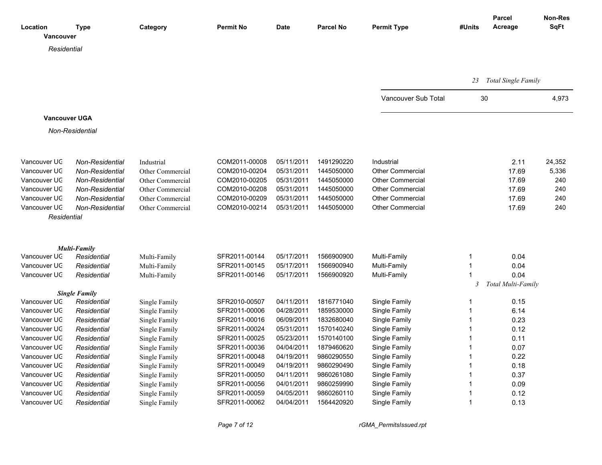| Location<br>Vancouver        | Type                       | Category                       | <b>Permit No</b>               | <b>Date</b>              | <b>Parcel No</b>         | <b>Permit Type</b>             | #Units       | <b>Parcel</b><br>Acreage | <b>Non-Res</b><br><b>SqFt</b> |
|------------------------------|----------------------------|--------------------------------|--------------------------------|--------------------------|--------------------------|--------------------------------|--------------|--------------------------|-------------------------------|
| Residential                  |                            |                                |                                |                          |                          |                                |              |                          |                               |
|                              |                            |                                |                                |                          |                          |                                |              |                          |                               |
|                              |                            |                                |                                |                          |                          |                                |              |                          |                               |
|                              |                            |                                |                                |                          |                          |                                | 23           | Total Single Family      |                               |
|                              |                            |                                |                                |                          |                          | Vancouver Sub Total            | 30           |                          | 4,973                         |
| <b>Vancouver UGA</b>         |                            |                                |                                |                          |                          |                                |              |                          |                               |
|                              | Non-Residential            |                                |                                |                          |                          |                                |              |                          |                               |
|                              |                            |                                |                                |                          |                          |                                |              |                          |                               |
| Vancouver UC                 | Non-Residential            | Industrial                     | COM2011-00008                  | 05/11/2011               | 1491290220               | Industrial                     |              | 2.11                     | 24,352                        |
| Vancouver UC                 | Non-Residential            | Other Commercial               | COM2010-00204                  | 05/31/2011               | 1445050000               | <b>Other Commercial</b>        |              | 17.69                    | 5,336                         |
| Vancouver UC                 | Non-Residential            | Other Commercial               | COM2010-00205                  | 05/31/2011               | 1445050000               | <b>Other Commercial</b>        |              | 17.69                    | 240                           |
| Vancouver UC                 | Non-Residential            | Other Commercial               | COM2010-00208                  | 05/31/2011               | 1445050000               | <b>Other Commercial</b>        |              | 17.69                    | 240                           |
| Vancouver UC                 | Non-Residential            | Other Commercial               | COM2010-00209                  | 05/31/2011               | 1445050000               | <b>Other Commercial</b>        |              | 17.69                    | 240                           |
| Vancouver UC                 | Non-Residential            | Other Commercial               | COM2010-00214                  | 05/31/2011               | 1445050000               | <b>Other Commercial</b>        |              | 17.69                    | 240                           |
| Residential                  |                            |                                |                                |                          |                          |                                |              |                          |                               |
|                              |                            |                                |                                |                          |                          |                                |              |                          |                               |
|                              | <b>Multi-Family</b>        |                                |                                |                          |                          |                                |              |                          |                               |
| Vancouver UC                 | Residential                | Multi-Family                   | SFR2011-00144                  | 05/17/2011               | 1566900900               | Multi-Family                   | 1            | 0.04                     |                               |
| Vancouver UC                 | Residential                | Multi-Family                   | SFR2011-00145                  | 05/17/2011               | 1566900940               | Multi-Family                   | $\mathbf{1}$ | 0.04                     |                               |
| Vancouver UC                 | Residential                | Multi-Family                   | SFR2011-00146                  | 05/17/2011               | 1566900920               | Multi-Family                   | $\mathbf{1}$ | 0.04                     |                               |
|                              |                            |                                |                                |                          |                          |                                | 3            | Total Multi-Family       |                               |
| Vancouver UC                 | <b>Single Family</b>       |                                | SFR2010-00507                  | 04/11/2011               | 1816771040               |                                |              |                          |                               |
|                              | Residential                | Single Family                  |                                |                          |                          | Single Family                  | 1<br>1       | 0.15                     |                               |
| Vancouver UC<br>Vancouver UC | Residential                | Single Family                  | SFR2011-00006                  | 04/28/2011               | 1859530000               | Single Family                  | $\mathbf{1}$ | 6.14<br>0.23             |                               |
| Vancouver UC                 | Residential<br>Residential | Single Family                  | SFR2011-00016<br>SFR2011-00024 | 06/09/2011<br>05/31/2011 | 1832680040<br>1570140240 | Single Family<br>Single Family | $\mathbf{1}$ | 0.12                     |                               |
| Vancouver UC                 | Residential                | Single Family<br>Single Family | SFR2011-00025                  | 05/23/2011               | 1570140100               | Single Family                  | $\mathbf{1}$ | 0.11                     |                               |
| Vancouver UC                 | Residential                |                                | SFR2011-00036                  | 04/04/2011               | 1879460620               | Single Family                  | $\mathbf{1}$ | 0.07                     |                               |
| Vancouver UC                 | Residential                | Single Family<br>Single Family | SFR2011-00048                  | 04/19/2011               | 9860290550               | Single Family                  | $\mathbf{1}$ | 0.22                     |                               |
| Vancouver UC                 | Residential                | Single Family                  | SFR2011-00049                  | 04/19/2011               | 9860290490               | Single Family                  | 1            | 0.18                     |                               |
| Vancouver UC                 | Residential                | Single Family                  | SFR2011-00050                  | 04/11/2011               | 9860261080               | Single Family                  | $\mathbf{1}$ | 0.37                     |                               |
| Vancouver UC                 | Residential                | Single Family                  | SFR2011-00056                  | 04/01/2011               | 9860259990               | Single Family                  | $\mathbf{1}$ | 0.09                     |                               |
| Vancouver UC                 | Residential                | Single Family                  | SFR2011-00059                  | 04/05/2011               | 9860260110               | Single Family                  | $\mathbf{1}$ | 0.12                     |                               |
| Vancouver UC                 | Residential                | Single Family                  | SFR2011-00062                  | 04/04/2011               | 1564420920               | Single Family                  | $\mathbf{1}$ | 0.13                     |                               |
|                              |                            |                                |                                |                          |                          |                                |              |                          |                               |

*Page 7 of 12 rGMA\_PermitsIssued.rpt*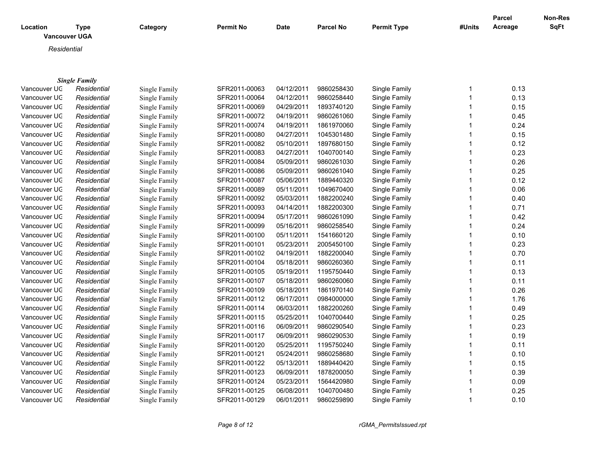| Location<br><b>Vancouver UGA</b> | Type                 | Category      | <b>Permit No</b> | <b>Date</b> | <b>Parcel No</b> | <b>Permit Type</b> | #Units | Parcel<br>Acreage | <b>Non-Res</b><br>SqFt |
|----------------------------------|----------------------|---------------|------------------|-------------|------------------|--------------------|--------|-------------------|------------------------|
| Residential                      |                      |               |                  |             |                  |                    |        |                   |                        |
|                                  |                      |               |                  |             |                  |                    |        |                   |                        |
|                                  | <b>Single Family</b> |               |                  |             |                  |                    |        |                   |                        |
| Vancouver UC                     | Residential          | Single Family | SFR2011-00063    | 04/12/2011  | 9860258430       | Single Family      |        | 0.13              |                        |
| Vancouver UC                     | Residential          | Single Family | SFR2011-00064    | 04/12/2011  | 9860258440       | Single Family      |        | 0.13              |                        |
| Vancouver UC                     | Residential          | Single Family | SFR2011-00069    | 04/29/2011  | 1893740120       | Single Family      |        | 0.15              |                        |
| Vancouver UC                     | Residential          | Single Family | SFR2011-00072    | 04/19/2011  | 9860261060       | Single Family      |        | 0.45              |                        |
| Vancouver UC                     | Residential          | Single Family | SFR2011-00074    | 04/19/2011  | 1861970060       | Single Family      |        | 0.24              |                        |
| Vancouver UC                     | Residential          | Single Family | SFR2011-00080    | 04/27/2011  | 1045301480       | Single Family      |        | 0.15              |                        |
| Vancouver UC                     | Residential          | Single Family | SFR2011-00082    | 05/10/2011  | 1897680150       | Single Family      |        | 0.12              |                        |

| vancouver oc | Residential | Single Family | OFRZU I I-UUU04 | U411212011 | 9000Z30440 | Siriyle Farilliy | <b>U.IJ</b> |
|--------------|-------------|---------------|-----------------|------------|------------|------------------|-------------|
| Vancouver UC | Residential | Single Family | SFR2011-00069   | 04/29/2011 | 1893740120 | Single Family    | 0.15        |
| Vancouver UC | Residential | Single Family | SFR2011-00072   | 04/19/2011 | 9860261060 | Single Family    | 0.45        |
| Vancouver UC | Residential | Single Family | SFR2011-00074   | 04/19/2011 | 1861970060 | Single Family    | 0.24        |
| Vancouver UC | Residential | Single Family | SFR2011-00080   | 04/27/2011 | 1045301480 | Single Family    | 0.15        |
| Vancouver UC | Residential | Single Family | SFR2011-00082   | 05/10/2011 | 1897680150 | Single Family    | 0.12        |
| Vancouver UC | Residential | Single Family | SFR2011-00083   | 04/27/2011 | 1040700140 | Single Family    | 0.23        |
| Vancouver UC | Residential | Single Family | SFR2011-00084   | 05/09/2011 | 9860261030 | Single Family    | 0.26        |
| Vancouver UC | Residential | Single Family | SFR2011-00086   | 05/09/2011 | 9860261040 | Single Family    | 0.25        |
| Vancouver UC | Residential | Single Family | SFR2011-00087   | 05/06/2011 | 1889440320 | Single Family    | 0.12        |
| Vancouver UC | Residential | Single Family | SFR2011-00089   | 05/11/2011 | 1049670400 | Single Family    | 0.06        |
| Vancouver UC | Residential | Single Family | SFR2011-00092   | 05/03/2011 | 1882200240 | Single Family    | 0.40        |
| Vancouver UC | Residential | Single Family | SFR2011-00093   | 04/14/2011 | 1882200300 | Single Family    | 0.71        |
| Vancouver UC | Residential | Single Family | SFR2011-00094   | 05/17/2011 | 9860261090 | Single Family    | 0.42        |
| Vancouver UC | Residential | Single Family | SFR2011-00099   | 05/16/2011 | 9860258540 | Single Family    | 0.24        |
| Vancouver UC | Residential | Single Family | SFR2011-00100   | 05/11/2011 | 1541660120 | Single Family    | 0.10        |
| Vancouver UC | Residential | Single Family | SFR2011-00101   | 05/23/2011 | 2005450100 | Single Family    | 0.23        |
| Vancouver UC | Residential | Single Family | SFR2011-00102   | 04/19/2011 | 1882200040 | Single Family    | 0.70        |
| Vancouver UC | Residential | Single Family | SFR2011-00104   | 05/18/2011 | 9860260360 | Single Family    | 0.11        |
| Vancouver UC | Residential | Single Family | SFR2011-00105   | 05/19/2011 | 1195750440 | Single Family    | 0.13        |
| Vancouver UC | Residential | Single Family | SFR2011-00107   | 05/18/2011 | 9860260060 | Single Family    | 0.11        |
| Vancouver UC | Residential | Single Family | SFR2011-00109   | 05/18/2011 | 1861970140 | Single Family    | 0.26        |
| Vancouver UC | Residential | Single Family | SFR2011-00112   | 06/17/2011 | 0984000000 | Single Family    | 1.76        |
| Vancouver UC | Residential | Single Family | SFR2011-00114   | 06/03/2011 | 1882200260 | Single Family    | 0.49        |
| Vancouver UC | Residential | Single Family | SFR2011-00115   | 05/25/2011 | 1040700440 | Single Family    | 0.25        |
| Vancouver UC | Residential | Single Family | SFR2011-00116   | 06/09/2011 | 9860290540 | Single Family    | 0.23        |
| Vancouver UC | Residential | Single Family | SFR2011-00117   | 06/09/2011 | 9860290530 | Single Family    | 0.19        |
| Vancouver UC | Residential | Single Family | SFR2011-00120   | 05/25/2011 | 1195750240 | Single Family    | 0.11        |
| Vancouver UC | Residential | Single Family | SFR2011-00121   | 05/24/2011 | 9860258680 | Single Family    | 0.10        |
| Vancouver UC | Residential | Single Family | SFR2011-00122   | 05/13/2011 | 1889440420 | Single Family    | 0.15        |
| Vancouver UC | Residential | Single Family | SFR2011-00123   | 06/09/2011 | 1878200050 | Single Family    | 0.39        |
| Vancouver UC | Residential | Single Family | SFR2011-00124   | 05/23/2011 | 1564420980 | Single Family    | 0.09        |
| Vancouver UC | Residential | Single Family | SFR2011-00125   | 06/08/2011 | 1040700480 | Single Family    | 0.25        |
| Vancouver UC | Residential | Single Family | SFR2011-00129   | 06/01/2011 | 9860259890 | Single Family    | 0.10        |
|              |             |               |                 |            |            |                  |             |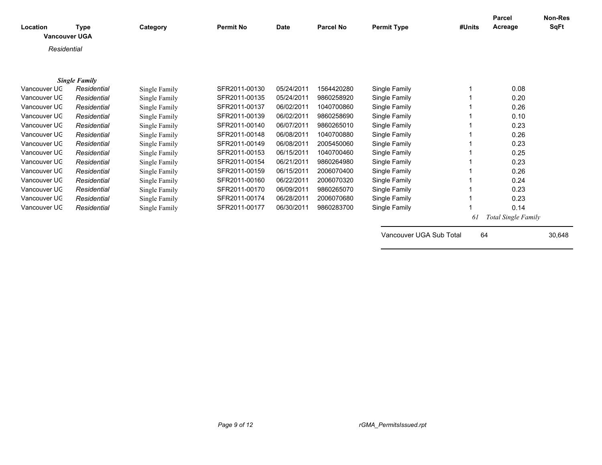| Location<br><b>Vancouver UGA</b> | Type                 | Category      | <b>Permit No</b> | <b>Date</b> | <b>Parcel No</b> | <b>Permit Type</b>      | #Units | Parcel<br>Acreage          | <b>Non-Res</b><br><b>SqFt</b> |
|----------------------------------|----------------------|---------------|------------------|-------------|------------------|-------------------------|--------|----------------------------|-------------------------------|
| Residential                      |                      |               |                  |             |                  |                         |        |                            |                               |
|                                  |                      |               |                  |             |                  |                         |        |                            |                               |
|                                  | <b>Single Family</b> |               |                  |             |                  |                         |        |                            |                               |
| Vancouver UC                     | Residential          | Single Family | SFR2011-00130    | 05/24/2011  | 1564420280       | Single Family           |        | 0.08                       |                               |
| Vancouver UC                     | Residential          | Single Family | SFR2011-00135    | 05/24/2011  | 9860258920       | Single Family           |        | 0.20                       |                               |
| Vancouver UC                     | Residential          | Single Family | SFR2011-00137    | 06/02/2011  | 1040700860       | Single Family           |        | 0.26                       |                               |
| Vancouver UC                     | Residential          | Single Family | SFR2011-00139    | 06/02/2011  | 9860258690       | Single Family           |        | 0.10                       |                               |
| Vancouver UC                     | Residential          | Single Family | SFR2011-00140    | 06/07/2011  | 9860265010       | Single Family           |        | 0.23                       |                               |
| Vancouver UC                     | Residential          | Single Family | SFR2011-00148    | 06/08/2011  | 1040700880       | Single Family           |        | 0.26                       |                               |
| Vancouver UC                     | Residential          | Single Family | SFR2011-00149    | 06/08/2011  | 2005450060       | Single Family           |        | 0.23                       |                               |
| Vancouver UC                     | Residential          | Single Family | SFR2011-00153    | 06/15/2011  | 1040700460       | Single Family           |        | 0.25                       |                               |
| Vancouver UC                     | Residential          | Single Family | SFR2011-00154    | 06/21/2011  | 9860264980       | Single Family           |        | 0.23                       |                               |
| Vancouver UC                     | Residential          | Single Family | SFR2011-00159    | 06/15/2011  | 2006070400       | Single Family           |        | 0.26                       |                               |
| Vancouver UC                     | Residential          | Single Family | SFR2011-00160    | 06/22/2011  | 2006070320       | Single Family           |        | 0.24                       |                               |
| Vancouver UC                     | Residential          | Single Family | SFR2011-00170    | 06/09/2011  | 9860265070       | Single Family           |        | 0.23                       |                               |
| Vancouver UC                     | Residential          | Single Family | SFR2011-00174    | 06/28/2011  | 2006070680       | Single Family           |        | 0.23                       |                               |
| Vancouver UC                     | Residential          | Single Family | SFR2011-00177    | 06/30/2011  | 9860283700       | Single Family           |        | 0.14                       |                               |
|                                  |                      |               |                  |             |                  |                         | 61     | <b>Total Single Family</b> |                               |
|                                  |                      |               |                  |             |                  | Vancouver UGA Sub Total | 64     |                            | 30,648                        |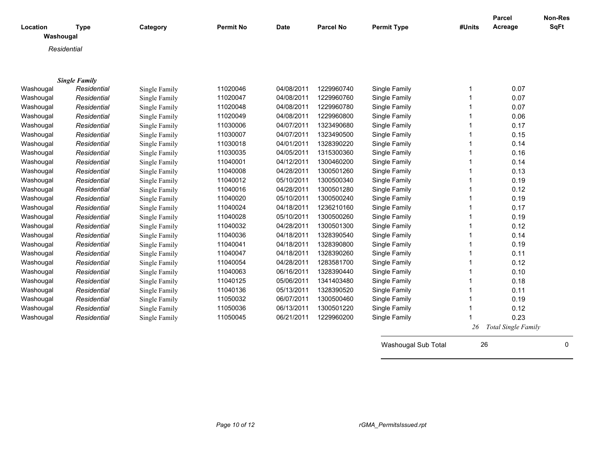| Location  | <b>Type</b>          | Category      | <b>Permit No</b> | <b>Date</b> | <b>Parcel No</b> | <b>Permit Type</b> | #Units | <b>Parcel</b><br>Acreage   | Non-Res<br>SqFt |
|-----------|----------------------|---------------|------------------|-------------|------------------|--------------------|--------|----------------------------|-----------------|
| Washougal |                      |               |                  |             |                  |                    |        |                            |                 |
|           | Residential          |               |                  |             |                  |                    |        |                            |                 |
|           |                      |               |                  |             |                  |                    |        |                            |                 |
|           | <b>Single Family</b> |               |                  |             |                  |                    |        |                            |                 |
| Washougal | Residential          | Single Family | 11020046         | 04/08/2011  | 1229960740       | Single Family      | 1      | 0.07                       |                 |
| Washougal | Residential          | Single Family | 11020047         | 04/08/2011  | 1229960760       | Single Family      | 1      | 0.07                       |                 |
| Washougal | Residential          | Single Family | 11020048         | 04/08/2011  | 1229960780       | Single Family      | 1      | 0.07                       |                 |
| Washougal | Residential          | Single Family | 11020049         | 04/08/2011  | 1229960800       | Single Family      | 1      | 0.06                       |                 |
| Washougal | Residential          | Single Family | 11030006         | 04/07/2011  | 1323490680       | Single Family      | 1      | 0.17                       |                 |
| Washougal | Residential          | Single Family | 11030007         | 04/07/2011  | 1323490500       | Single Family      | 1      | 0.15                       |                 |
| Washougal | Residential          | Single Family | 11030018         | 04/01/2011  | 1328390220       | Single Family      | 1      | 0.14                       |                 |
| Washougal | Residential          | Single Family | 11030035         | 04/05/2011  | 1315300360       | Single Family      | 1      | 0.16                       |                 |
| Washougal | Residential          | Single Family | 11040001         | 04/12/2011  | 1300460200       | Single Family      | 1      | 0.14                       |                 |
| Washougal | Residential          | Single Family | 11040008         | 04/28/2011  | 1300501260       | Single Family      | 1      | 0.13                       |                 |
| Washougal | Residential          | Single Family | 11040012         | 05/10/2011  | 1300500340       | Single Family      | 1      | 0.19                       |                 |
| Washougal | Residential          | Single Family | 11040016         | 04/28/2011  | 1300501280       | Single Family      | 1      | 0.12                       |                 |
| Washougal | Residential          | Single Family | 11040020         | 05/10/2011  | 1300500240       | Single Family      | 1      | 0.19                       |                 |
| Washougal | Residential          | Single Family | 11040024         | 04/18/2011  | 1236210160       | Single Family      | 1      | 0.17                       |                 |
| Washougal | Residential          | Single Family | 11040028         | 05/10/2011  | 1300500260       | Single Family      | 1      | 0.19                       |                 |
| Washougal | Residential          | Single Family | 11040032         | 04/28/2011  | 1300501300       | Single Family      | 1      | 0.12                       |                 |
| Washougal | Residential          | Single Family | 11040036         | 04/18/2011  | 1328390540       | Single Family      | 1      | 0.14                       |                 |
| Washougal | Residential          | Single Family | 11040041         | 04/18/2011  | 1328390800       | Single Family      | 1      | 0.19                       |                 |
| Washougal | Residential          | Single Family | 11040047         | 04/18/2011  | 1328390260       | Single Family      | 1      | 0.11                       |                 |
| Washougal | Residential          | Single Family | 11040054         | 04/28/2011  | 1283581700       | Single Family      | 1      | 0.12                       |                 |
| Washougal | Residential          | Single Family | 11040063         | 06/16/2011  | 1328390440       | Single Family      | 1      | 0.10                       |                 |
| Washougal | Residential          | Single Family | 11040125         | 05/06/2011  | 1341403480       | Single Family      | 1      | 0.18                       |                 |
| Washougal | Residential          | Single Family | 11040136         | 05/13/2011  | 1328390520       | Single Family      | 1      | 0.11                       |                 |
| Washougal | Residential          | Single Family | 11050032         | 06/07/2011  | 1300500460       | Single Family      | 1      | 0.19                       |                 |
| Washougal | Residential          | Single Family | 11050036         | 06/13/2011  | 1300501220       | Single Family      | 1      | 0.12                       |                 |
| Washougal | Residential          | Single Family | 11050045         | 06/21/2011  | 1229960200       | Single Family      |        | 0.23                       |                 |
|           |                      |               |                  |             |                  |                    | 26     | <b>Total Single Family</b> |                 |

Washougal Sub Total 26 20 0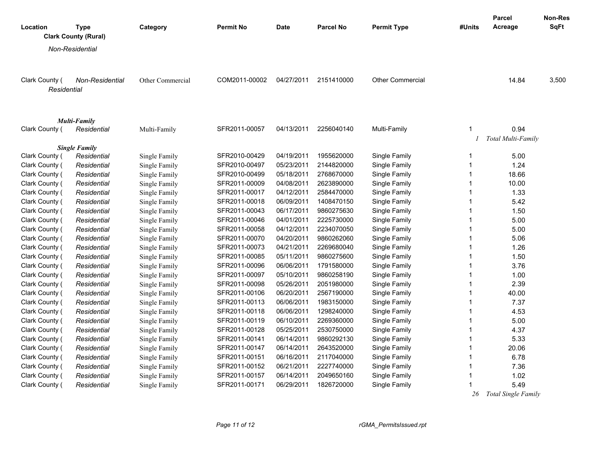|                |                                            |                  |                  |             |                  |                         |              | Parcel              | Non-Res     |
|----------------|--------------------------------------------|------------------|------------------|-------------|------------------|-------------------------|--------------|---------------------|-------------|
| Location       | <b>Type</b><br><b>Clark County (Rural)</b> | Category         | <b>Permit No</b> | <b>Date</b> | <b>Parcel No</b> | <b>Permit Type</b>      | #Units       | Acreage             | <b>SqFt</b> |
|                |                                            |                  |                  |             |                  |                         |              |                     |             |
|                | Non-Residential                            |                  |                  |             |                  |                         |              |                     |             |
|                |                                            |                  |                  |             |                  |                         |              |                     |             |
| Clark County ( | <b>Non-Residential</b>                     | Other Commercial | COM2011-00002    | 04/27/2011  | 2151410000       | <b>Other Commercial</b> |              | 14.84               | 3,500       |
| Residential    |                                            |                  |                  |             |                  |                         |              |                     |             |
|                |                                            |                  |                  |             |                  |                         |              |                     |             |
|                |                                            |                  |                  |             |                  |                         |              |                     |             |
|                | <b>Multi-Family</b>                        |                  |                  |             |                  |                         |              |                     |             |
| Clark County ( | Residential                                | Multi-Family     | SFR2011-00057    | 04/13/2011  | 2256040140       | Multi-Family            | 1            | 0.94                |             |
|                |                                            |                  |                  |             |                  |                         |              | Total Multi-Family  |             |
|                | <b>Single Family</b>                       |                  |                  |             |                  |                         |              |                     |             |
| Clark County ( | Residential                                | Single Family    | SFR2010-00429    | 04/19/2011  | 1955620000       | Single Family           | 1            | 5.00                |             |
| Clark County ( | Residential                                | Single Family    | SFR2010-00497    | 05/23/2011  | 2144820000       | Single Family           | $\mathbf{1}$ | 1.24                |             |
| Clark County ( | Residential                                | Single Family    | SFR2010-00499    | 05/18/2011  | 2768670000       | Single Family           | 1            | 18.66               |             |
| Clark County ( | Residential                                | Single Family    | SFR2011-00009    | 04/08/2011  | 2623890000       | Single Family           | 1            | 10.00               |             |
| Clark County ( | Residential                                | Single Family    | SFR2011-00017    | 04/12/2011  | 2584470000       | Single Family           | 1            | 1.33                |             |
| Clark County ( | Residential                                | Single Family    | SFR2011-00018    | 06/09/2011  | 1408470150       | Single Family           | $\mathbf{1}$ | 5.42                |             |
| Clark County ( | Residential                                | Single Family    | SFR2011-00043    | 06/17/2011  | 9860275630       | Single Family           | $\mathbf{1}$ | 1.50                |             |
| Clark County ( | Residential                                | Single Family    | SFR2011-00046    | 04/01/2011  | 2225730000       | Single Family           | 1            | 5.00                |             |
| Clark County ( | Residential                                | Single Family    | SFR2011-00058    | 04/12/2011  | 2234070050       | Single Family           | $\mathbf{1}$ | 5.00                |             |
| Clark County ( | Residential                                | Single Family    | SFR2011-00070    | 04/20/2011  | 9860262060       | Single Family           | 1            | 5.06                |             |
| Clark County ( | Residential                                | Single Family    | SFR2011-00073    | 04/21/2011  | 2269680040       | Single Family           | $\mathbf{1}$ | 1.26                |             |
| Clark County ( | Residential                                | Single Family    | SFR2011-00085    | 05/11/2011  | 9860275600       | Single Family           | 1            | 1.50                |             |
| Clark County ( | Residential                                | Single Family    | SFR2011-00096    | 06/06/2011  | 1791580000       | Single Family           | $\mathbf{1}$ | 3.76                |             |
| Clark County ( | Residential                                | Single Family    | SFR2011-00097    | 05/10/2011  | 9860258190       | Single Family           | 1            | 1.00                |             |
| Clark County ( | Residential                                | Single Family    | SFR2011-00098    | 05/26/2011  | 2051980000       | Single Family           | $\mathbf{1}$ | 2.39                |             |
| Clark County ( | Residential                                | Single Family    | SFR2011-00106    | 06/20/2011  | 2567190000       | Single Family           | $\mathbf{1}$ | 40.00               |             |
| Clark County ( | Residential                                | Single Family    | SFR2011-00113    | 06/06/2011  | 1983150000       | Single Family           | $\mathbf{1}$ | 7.37                |             |
| Clark County ( | Residential                                | Single Family    | SFR2011-00118    | 06/06/2011  | 1298240000       | Single Family           | $\mathbf{1}$ | 4.53                |             |
| Clark County ( | Residential                                | Single Family    | SFR2011-00119    | 06/10/2011  | 2269360000       | Single Family           | 1            | 5.00                |             |
| Clark County ( | Residential                                | Single Family    | SFR2011-00128    | 05/25/2011  | 2530750000       | Single Family           | $\mathbf{1}$ | 4.37                |             |
| Clark County ( | Residential                                | Single Family    | SFR2011-00141    | 06/14/2011  | 9860292130       | Single Family           | $\mathbf{1}$ | 5.33                |             |
| Clark County ( | Residential                                | Single Family    | SFR2011-00147    | 06/14/2011  | 2643520000       | Single Family           | $\mathbf{1}$ | 20.06               |             |
| Clark County ( | Residential                                | Single Family    | SFR2011-00151    | 06/16/2011  | 2117040000       | Single Family           | 1            | 6.78                |             |
| Clark County ( | Residential                                | Single Family    | SFR2011-00152    | 06/21/2011  | 2227740000       | Single Family           | $\mathbf{1}$ | 7.36                |             |
| Clark County ( | Residential                                | Single Family    | SFR2011-00157    | 06/14/2011  | 2049650160       | Single Family           | $\mathbf{1}$ | 1.02                |             |
| Clark County ( | Residential                                | Single Family    | SFR2011-00171    | 06/29/2011  | 1826720000       | Single Family           |              | 5.49                |             |
|                |                                            |                  |                  |             |                  |                         | 26           | Total Single Family |             |